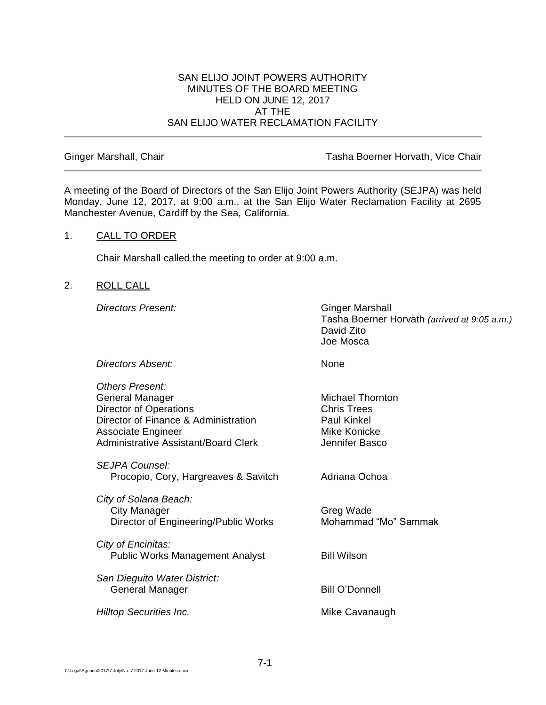## SAN ELIJO JOINT POWERS AUTHORITY MINUTES OF THE BOARD MEETING HELD ON JUNE 12, 2017 AT THE SAN ELIJO WATER RECLAMATION FACILITY

Ginger Marshall, Chair **Tasha Boerner Horvath, Vice Chair** Tasha Boerner Horvath, Vice Chair

A meeting of the Board of Directors of the San Elijo Joint Powers Authority (SEJPA) was held Monday, June 12, 2017, at 9:00 a.m., at the San Elijo Water Reclamation Facility at 2695 Manchester Avenue, Cardiff by the Sea, California.

# 1. CALL TO ORDER

Chair Marshall called the meeting to order at 9:00 a.m.

## 2. ROLL CALL

**Directors Present:** Ginger Marshall

Tasha Boerner Horvath *(arrived at 9:05 a.m.)* David Zito Joe Mosca

**Directors Absent:** None

| Others Present:<br>General Manager<br>Director of Operations<br>Director of Finance & Administration<br>Associate Engineer<br><b>Administrative Assistant/Board Clerk</b> | Michael Thornton<br><b>Chris Trees</b><br><b>Paul Kinkel</b><br>Mike Konicke<br>Jennifer Basco |
|---------------------------------------------------------------------------------------------------------------------------------------------------------------------------|------------------------------------------------------------------------------------------------|
| SEJPA Counsel:<br>Procopio, Cory, Hargreaves & Savitch                                                                                                                    | Adriana Ochoa                                                                                  |
| City of Solana Beach:<br><b>City Manager</b><br>Director of Engineering/Public Works                                                                                      | Greg Wade<br>Mohammad "Mo" Sammak                                                              |
| City of Encinitas:<br><b>Public Works Management Analyst</b>                                                                                                              | <b>Bill Wilson</b>                                                                             |
| San Dieguito Water District:<br>General Manager                                                                                                                           | <b>Bill O'Donnell</b>                                                                          |
| <b>Hilltop Securities Inc.</b>                                                                                                                                            | Mike Cavanaugh                                                                                 |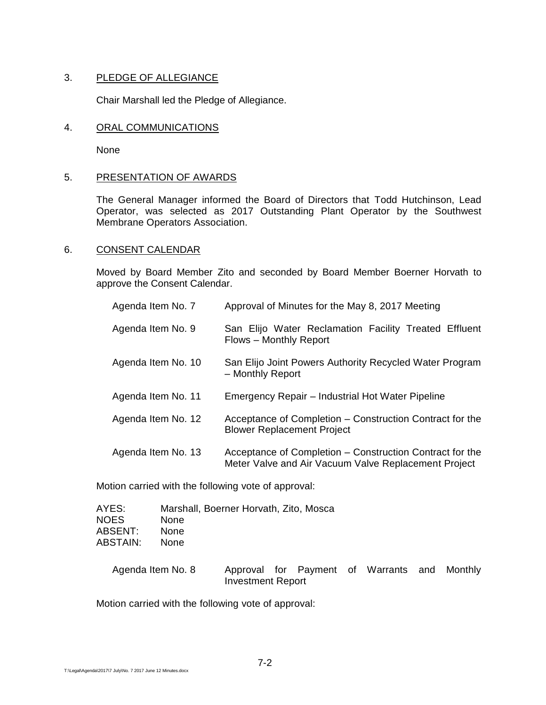# 3. PLEDGE OF ALLEGIANCE

Chair Marshall led the Pledge of Allegiance.

## 4. ORAL COMMUNICATIONS

None

## 5. PRESENTATION OF AWARDS

The General Manager informed the Board of Directors that Todd Hutchinson, Lead Operator, was selected as 2017 Outstanding Plant Operator by the Southwest Membrane Operators Association.

## 6. CONSENT CALENDAR

Moved by Board Member Zito and seconded by Board Member Boerner Horvath to approve the Consent Calendar.

| Agenda Item No. 7  | Approval of Minutes for the May 8, 2017 Meeting                                                                  |
|--------------------|------------------------------------------------------------------------------------------------------------------|
| Agenda Item No. 9  | San Elijo Water Reclamation Facility Treated Effluent<br>Flows - Monthly Report                                  |
| Agenda Item No. 10 | San Elijo Joint Powers Authority Recycled Water Program<br>- Monthly Report                                      |
| Agenda Item No. 11 | Emergency Repair – Industrial Hot Water Pipeline                                                                 |
| Agenda Item No. 12 | Acceptance of Completion – Construction Contract for the<br><b>Blower Replacement Project</b>                    |
| Agenda Item No. 13 | Acceptance of Completion – Construction Contract for the<br>Meter Valve and Air Vacuum Valve Replacement Project |

Motion carried with the following vote of approval:

| AYES:<br><b>NOES</b><br>ABSENT:<br>ABSTAIN: | Marshall, Boerner Horvath, Zito, Mosca<br>None<br>None<br><b>None</b> |                          |  |                                              |  |
|---------------------------------------------|-----------------------------------------------------------------------|--------------------------|--|----------------------------------------------|--|
| Agenda Item No. 8                           |                                                                       | <b>Investment Report</b> |  | Approval for Payment of Warrants and Monthly |  |

Motion carried with the following vote of approval: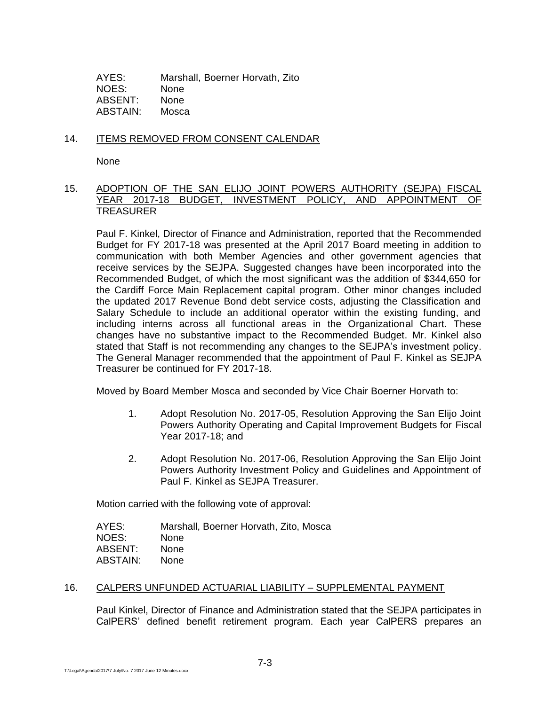AYES: Marshall, Boerner Horvath, Zito NOES: None ABSENT: None ABSTAIN: Mosca

# 14. ITEMS REMOVED FROM CONSENT CALENDAR

None

# 15. ADOPTION OF THE SAN ELIJO JOINT POWERS AUTHORITY (SEJPA) FISCAL YEAR 2017-18 BUDGET, INVESTMENT POLICY, AND APPOINTMENT OF **TREASURER**

Paul F. Kinkel, Director of Finance and Administration, reported that the Recommended Budget for FY 2017-18 was presented at the April 2017 Board meeting in addition to communication with both Member Agencies and other government agencies that receive services by the SEJPA. Suggested changes have been incorporated into the Recommended Budget, of which the most significant was the addition of \$344,650 for the Cardiff Force Main Replacement capital program. Other minor changes included the updated 2017 Revenue Bond debt service costs, adjusting the Classification and Salary Schedule to include an additional operator within the existing funding, and including interns across all functional areas in the Organizational Chart. These changes have no substantive impact to the Recommended Budget. Mr. Kinkel also stated that Staff is not recommending any changes to the SEJPA's investment policy. The General Manager recommended that the appointment of Paul F. Kinkel as SEJPA Treasurer be continued for FY 2017-18.

Moved by Board Member Mosca and seconded by Vice Chair Boerner Horvath to:

- 1. Adopt Resolution No. 2017-05, Resolution Approving the San Elijo Joint Powers Authority Operating and Capital Improvement Budgets for Fiscal Year 2017-18; and
- 2. Adopt Resolution No. 2017-06, Resolution Approving the San Elijo Joint Powers Authority Investment Policy and Guidelines and Appointment of Paul F. Kinkel as SEJPA Treasurer.

Motion carried with the following vote of approval:

| AYES:    | Marshall, Boerner Horvath, Zito, Mosca |
|----------|----------------------------------------|
| NOES:    | <b>None</b>                            |
| ABSENT:  | <b>None</b>                            |
| ABSTAIN: | <b>None</b>                            |
|          |                                        |

## 16. CALPERS UNFUNDED ACTUARIAL LIABILITY – SUPPLEMENTAL PAYMENT

Paul Kinkel, Director of Finance and Administration stated that the SEJPA participates in CalPERS' defined benefit retirement program. Each year CalPERS prepares an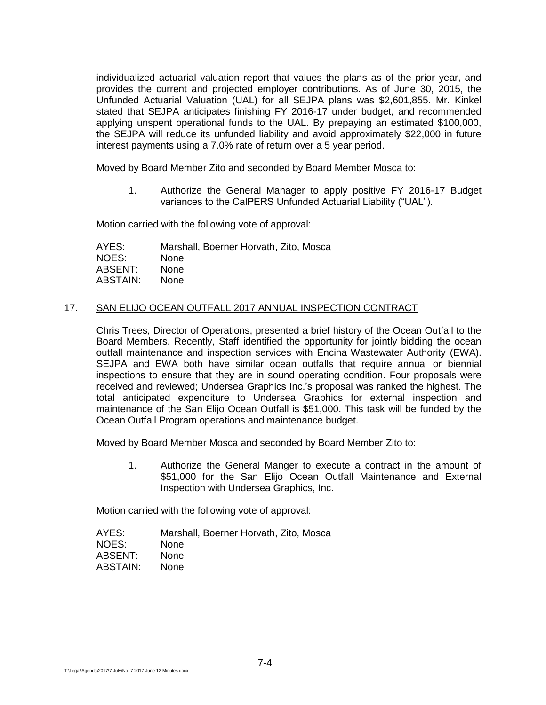individualized actuarial valuation report that values the plans as of the prior year, and provides the current and projected employer contributions. As of June 30, 2015, the Unfunded Actuarial Valuation (UAL) for all SEJPA plans was \$2,601,855. Mr. Kinkel stated that SEJPA anticipates finishing FY 2016-17 under budget, and recommended applying unspent operational funds to the UAL. By prepaying an estimated \$100,000, the SEJPA will reduce its unfunded liability and avoid approximately \$22,000 in future interest payments using a 7.0% rate of return over a 5 year period.

Moved by Board Member Zito and seconded by Board Member Mosca to:

1. Authorize the General Manager to apply positive FY 2016-17 Budget variances to the CalPERS Unfunded Actuarial Liability ("UAL").

Motion carried with the following vote of approval:

AYES: Marshall, Boerner Horvath, Zito, Mosca NOES: None ABSENT: None ABSTAIN: None

## 17. SAN ELIJO OCEAN OUTFALL 2017 ANNUAL INSPECTION CONTRACT

Chris Trees, Director of Operations, presented a brief history of the Ocean Outfall to the Board Members. Recently, Staff identified the opportunity for jointly bidding the ocean outfall maintenance and inspection services with Encina Wastewater Authority (EWA). SEJPA and EWA both have similar ocean outfalls that require annual or biennial inspections to ensure that they are in sound operating condition. Four proposals were received and reviewed; Undersea Graphics Inc.'s proposal was ranked the highest. The total anticipated expenditure to Undersea Graphics for external inspection and maintenance of the San Elijo Ocean Outfall is \$51,000. This task will be funded by the Ocean Outfall Program operations and maintenance budget.

Moved by Board Member Mosca and seconded by Board Member Zito to:

1. Authorize the General Manger to execute a contract in the amount of \$51,000 for the San Elijo Ocean Outfall Maintenance and External Inspection with Undersea Graphics, Inc.

Motion carried with the following vote of approval:

| Marshall, Boerner Horvath, Zito, Mosca |
|----------------------------------------|
| <b>None</b>                            |
| <b>None</b>                            |
| <b>None</b>                            |
|                                        |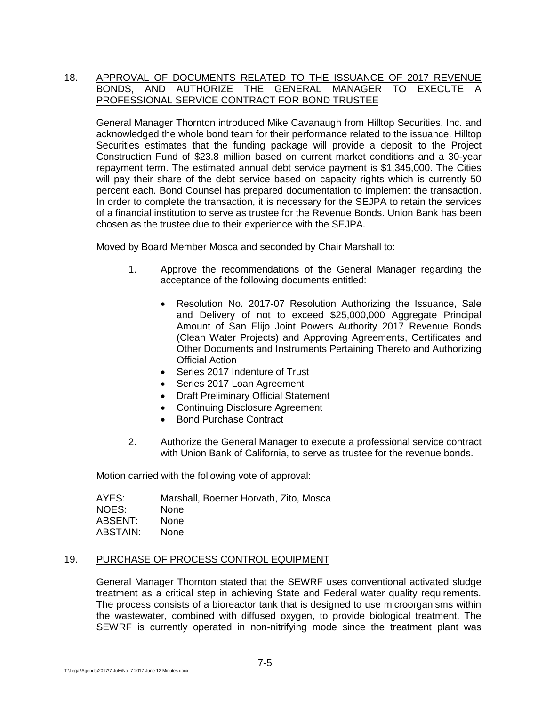# 18. APPROVAL OF DOCUMENTS RELATED TO THE ISSUANCE OF 2017 REVENUE BONDS, AND AUTHORIZE THE GENERAL MANAGER TO EXECUTE A PROFESSIONAL SERVICE CONTRACT FOR BOND TRUSTEE

General Manager Thornton introduced Mike Cavanaugh from Hilltop Securities, Inc. and acknowledged the whole bond team for their performance related to the issuance. Hilltop Securities estimates that the funding package will provide a deposit to the Project Construction Fund of \$23.8 million based on current market conditions and a 30-year repayment term. The estimated annual debt service payment is \$1,345,000. The Cities will pay their share of the debt service based on capacity rights which is currently 50 percent each. Bond Counsel has prepared documentation to implement the transaction. In order to complete the transaction, it is necessary for the SEJPA to retain the services of a financial institution to serve as trustee for the Revenue Bonds. Union Bank has been chosen as the trustee due to their experience with the SEJPA.

Moved by Board Member Mosca and seconded by Chair Marshall to:

- 1. Approve the recommendations of the General Manager regarding the acceptance of the following documents entitled:
	- Resolution No. 2017-07 Resolution Authorizing the Issuance, Sale and Delivery of not to exceed \$25,000,000 Aggregate Principal Amount of San Elijo Joint Powers Authority 2017 Revenue Bonds (Clean Water Projects) and Approving Agreements, Certificates and Other Documents and Instruments Pertaining Thereto and Authorizing Official Action
	- Series 2017 Indenture of Trust
	- Series 2017 Loan Agreement
	- Draft Preliminary Official Statement
	- Continuing Disclosure Agreement
	- Bond Purchase Contract
- 2. Authorize the General Manager to execute a professional service contract with Union Bank of California, to serve as trustee for the revenue bonds.

Motion carried with the following vote of approval:

| Marshall, Boerner Horvath, Zito, Mosca |
|----------------------------------------|
| <b>None</b>                            |
| <b>None</b>                            |
| <b>None</b>                            |
|                                        |

## 19. PURCHASE OF PROCESS CONTROL EQUIPMENT

General Manager Thornton stated that the SEWRF uses conventional activated sludge treatment as a critical step in achieving State and Federal water quality requirements. The process consists of a bioreactor tank that is designed to use microorganisms within the wastewater, combined with diffused oxygen, to provide biological treatment. The SEWRF is currently operated in non-nitrifying mode since the treatment plant was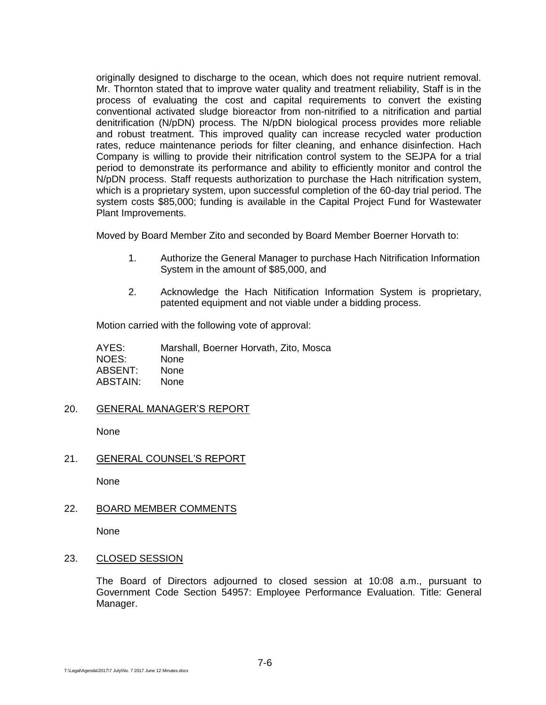originally designed to discharge to the ocean, which does not require nutrient removal. Mr. Thornton stated that to improve water quality and treatment reliability, Staff is in the process of evaluating the cost and capital requirements to convert the existing conventional activated sludge bioreactor from non-nitrified to a nitrification and partial denitrification (N/pDN) process. The N/pDN biological process provides more reliable and robust treatment. This improved quality can increase recycled water production rates, reduce maintenance periods for filter cleaning, and enhance disinfection. Hach Company is willing to provide their nitrification control system to the SEJPA for a trial period to demonstrate its performance and ability to efficiently monitor and control the N/pDN process. Staff requests authorization to purchase the Hach nitrification system, which is a proprietary system, upon successful completion of the 60-day trial period. The system costs \$85,000; funding is available in the Capital Project Fund for Wastewater Plant Improvements.

Moved by Board Member Zito and seconded by Board Member Boerner Horvath to:

- 1. Authorize the General Manager to purchase Hach Nitrification Information System in the amount of \$85,000, and
- 2. Acknowledge the Hach Nitification Information System is proprietary, patented equipment and not viable under a bidding process.

Motion carried with the following vote of approval:

AYES: Marshall, Boerner Horvath, Zito, Mosca NOES: None ABSENT: None ABSTAIN: None

20. GENERAL MANAGER'S REPORT

None

21. GENERAL COUNSEL'S REPORT

None

22. BOARD MEMBER COMMENTS

None

23. CLOSED SESSION

The Board of Directors adjourned to closed session at 10:08 a.m., pursuant to Government Code Section 54957: Employee Performance Evaluation. Title: General Manager.